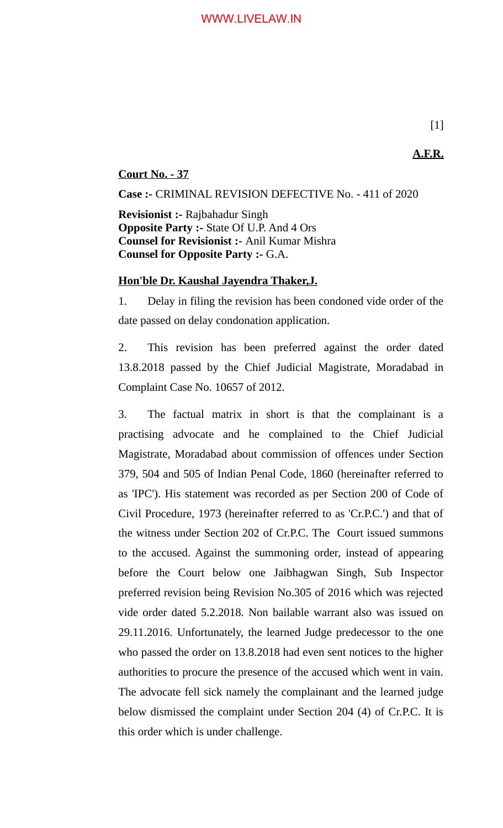**A.F.R.**

# **Court No. - 37**

**Case :-** CRIMINAL REVISION DEFECTIVE No. - 411 of 2020

**Revisionist :-** Rajbahadur Singh **Opposite Party :-** State Of U.P. And 4 Ors **Counsel for Revisionist :-** Anil Kumar Mishra **Counsel for Opposite Party :-** G.A.

## **Hon'ble Dr. Kaushal Jayendra Thaker,J.**

1. Delay in filing the revision has been condoned vide order of the date passed on delay condonation application.

2. This revision has been preferred against the order dated 13.8.2018 passed by the Chief Judicial Magistrate, Moradabad in Complaint Case No. 10657 of 2012.

3. The factual matrix in short is that the complainant is a practising advocate and he complained to the Chief Judicial Magistrate, Moradabad about commission of offences under Section 379, 504 and 505 of Indian Penal Code, 1860 (hereinafter referred to as 'IPC'). His statement was recorded as per Section 200 of Code of Civil Procedure, 1973 (hereinafter referred to as 'Cr.P.C.') and that of the witness under Section 202 of Cr.P.C. The Court issued summons to the accused. Against the summoning order, instead of appearing before the Court below one Jaibhagwan Singh, Sub Inspector preferred revision being Revision No.305 of 2016 which was rejected vide order dated 5.2.2018. Non bailable warrant also was issued on 29.11.2016. Unfortunately, the learned Judge predecessor to the one who passed the order on 13.8.2018 had even sent notices to the higher authorities to procure the presence of the accused which went in vain. The advocate fell sick namely the complainant and the learned judge below dismissed the complaint under Section 204 (4) of Cr.P.C. It is this order which is under challenge.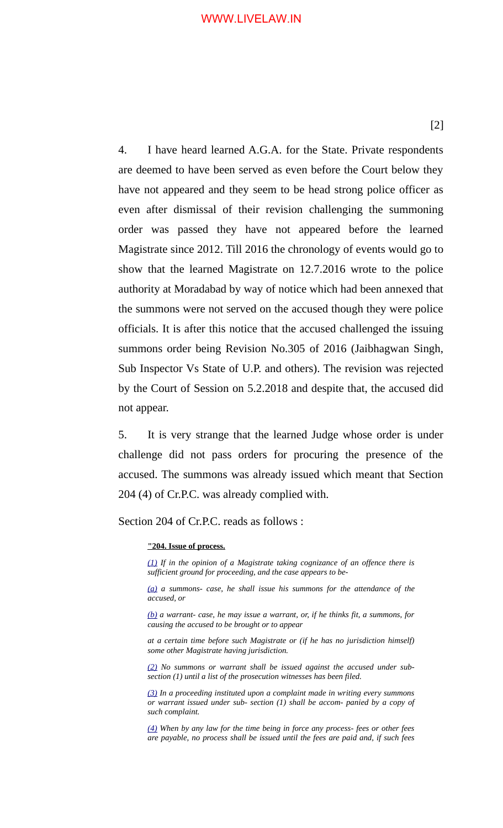#### WWW.LIVELAW.IN

4. I have heard learned A.G.A. for the State. Private respondents are deemed to have been served as even before the Court below they have not appeared and they seem to be head strong police officer as even after dismissal of their revision challenging the summoning order was passed they have not appeared before the learned Magistrate since 2012. Till 2016 the chronology of events would go to show that the learned Magistrate on 12.7.2016 wrote to the police authority at Moradabad by way of notice which had been annexed that the summons were not served on the accused though they were police officials. It is after this notice that the accused challenged the issuing summons order being Revision No.305 of 2016 (Jaibhagwan Singh, Sub Inspector Vs State of U.P. and others). The revision was rejected by the Court of Session on 5.2.2018 and despite that, the accused did not appear.

5. It is very strange that the learned Judge whose order is under challenge did not pass orders for procuring the presence of the accused. The summons was already issued which meant that Section 204 (4) of Cr.P.C. was already complied with.

Section 204 of Cr.P.C. reads as follows :

#### **"204. Issue of process.**

*[\(1\)](https://indiankanoon.org/doc/477997/) If in the opinion of a Magistrate taking cognizance of an offence there is sufficient ground for proceeding, and the case appears to be-*

*[\(a\)](https://indiankanoon.org/doc/1185694/) a summons- case, he shall issue his summons for the attendance of the accused, or*

*[\(b\)](https://indiankanoon.org/doc/1329756/) a warrant- case, he may issue a warrant, or, if he thinks fit, a summons, for causing the accused to be brought or to appear*

*at a certain time before such Magistrate or (if he has no jurisdiction himself) some other Magistrate having jurisdiction.*

*[\(2\)](https://indiankanoon.org/doc/473836/) No summons or warrant shall be issued against the accused under subsection (1) until a list of the prosecution witnesses has been filed.*

*[\(3\)](https://indiankanoon.org/doc/1997077/) In a proceeding instituted upon a complaint made in writing every summons or warrant issued under sub- section (1) shall be accom- panied by a copy of such complaint.*

*[\(4\)](https://indiankanoon.org/doc/703189/) When by any law for the time being in force any process- fees or other fees are payable, no process shall be issued until the fees are paid and, if such fees*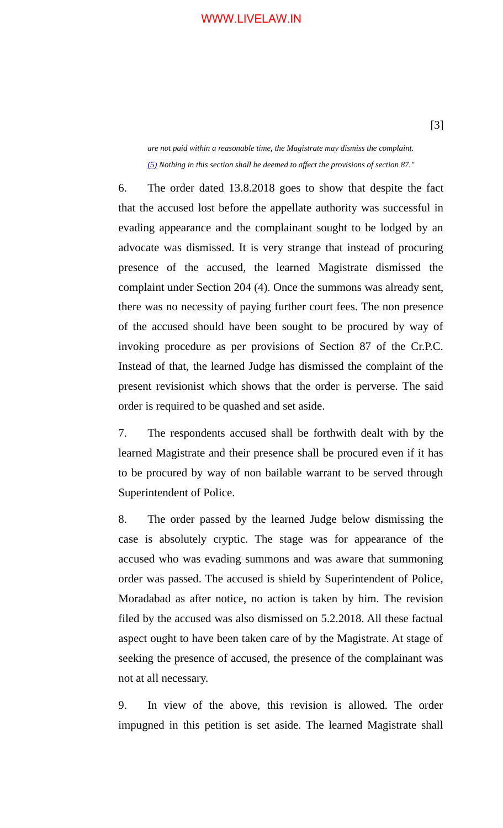### WWW.LIVELAW.IN

*are not paid within a reasonable time, the Magistrate may dismiss the complaint. [\(5\)](https://indiankanoon.org/doc/538525/) Nothing in this section shall be deemed to affect the provisions of section 87."*

6. The order dated 13.8.2018 goes to show that despite the fact that the accused lost before the appellate authority was successful in evading appearance and the complainant sought to be lodged by an advocate was dismissed. It is very strange that instead of procuring presence of the accused, the learned Magistrate dismissed the complaint under Section 204 (4). Once the summons was already sent, there was no necessity of paying further court fees. The non presence of the accused should have been sought to be procured by way of invoking procedure as per provisions of Section 87 of the Cr.P.C. Instead of that, the learned Judge has dismissed the complaint of the present revisionist which shows that the order is perverse. The said order is required to be quashed and set aside.

7. The respondents accused shall be forthwith dealt with by the learned Magistrate and their presence shall be procured even if it has to be procured by way of non bailable warrant to be served through Superintendent of Police.

8. The order passed by the learned Judge below dismissing the case is absolutely cryptic. The stage was for appearance of the accused who was evading summons and was aware that summoning order was passed. The accused is shield by Superintendent of Police, Moradabad as after notice, no action is taken by him. The revision filed by the accused was also dismissed on 5.2.2018. All these factual aspect ought to have been taken care of by the Magistrate. At stage of seeking the presence of accused, the presence of the complainant was not at all necessary.

9. In view of the above, this revision is allowed. The order impugned in this petition is set aside. The learned Magistrate shall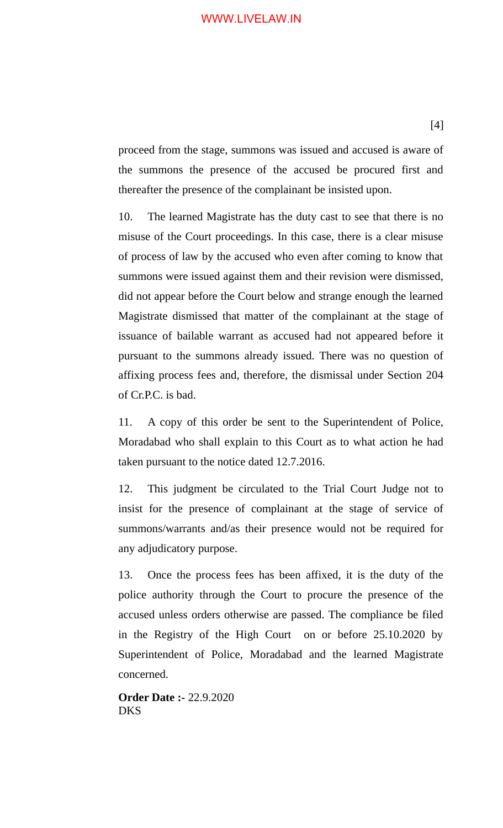### WWW.LIVELAW.IN

proceed from the stage, summons was issued and accused is aware of the summons the presence of the accused be procured first and thereafter the presence of the complainant be insisted upon.

10. The learned Magistrate has the duty cast to see that there is no misuse of the Court proceedings. In this case, there is a clear misuse of process of law by the accused who even after coming to know that summons were issued against them and their revision were dismissed, did not appear before the Court below and strange enough the learned Magistrate dismissed that matter of the complainant at the stage of issuance of bailable warrant as accused had not appeared before it pursuant to the summons already issued. There was no question of affixing process fees and, therefore, the dismissal under Section 204 of Cr.P.C. is bad.

11. A copy of this order be sent to the Superintendent of Police, Moradabad who shall explain to this Court as to what action he had taken pursuant to the notice dated 12.7.2016.

12. This judgment be circulated to the Trial Court Judge not to insist for the presence of complainant at the stage of service of summons/warrants and/as their presence would not be required for any adjudicatory purpose.

13. Once the process fees has been affixed, it is the duty of the police authority through the Court to procure the presence of the accused unless orders otherwise are passed. The compliance be filed in the Registry of the High Court on or before 25.10.2020 by Superintendent of Police, Moradabad and the learned Magistrate concerned.

**Order Date :-** 22.9.2020 DKS